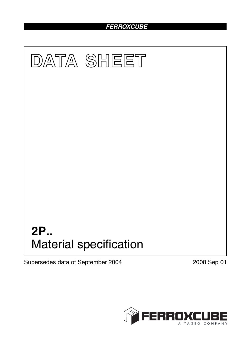# *FERROXCUBE*



Supersedes data of September 2004 2008 Sep 01

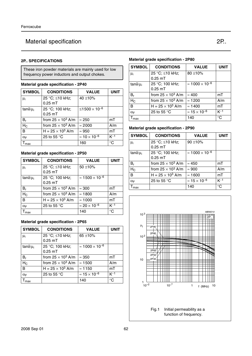# Material specification **2P. Material** specification **2P.**

## **2P.. SPECIFICATIONS**

These iron powder materials are mainly used for low frequency power inductors and output chokes.

#### **Material grade specification - 2P40**

| <b>SYMBOL</b>     | <b>CONDITIONS</b>            | <b>VALUE</b>                    | <b>UNIT</b> |
|-------------------|------------------------------|---------------------------------|-------------|
| μ <sub>i</sub>    | 25 °C; ≤10 kHz;<br>$0.25$ mT | 40 $\pm$ 10%                    |             |
| $tan\delta/\mu_i$ | 25 °C; 100 kHz;<br>$0.25$ mT | ≤1500 $\times$ 10 <sup>-6</sup> |             |
| $B_r$             | from $25 \times 10^3$ A/m    | $\approx 250$                   | mT          |
| $H_C$             | from $25 \times 10^3$ A/m    | $\approx 2000$                  | A/m         |
| B                 | H = $25 \times 10^3$ A/m     | $\approx 950$                   | mT          |
| $\alpha_F$        | 25 to 55 $\degree$ C         | $\approx 10 \times 10^{-6}$     | $K^{-1}$    |
| max               |                              | 160                             | $^{\circ}C$ |

## **Material grade specification - 2P50**

| <b>SYMBOL</b>   | <b>CONDITIONS</b>            | <b>VALUE</b>                           | <b>UNIT</b> |
|-----------------|------------------------------|----------------------------------------|-------------|
| $\mu_i$         | 25 °C; ≤10 kHz;<br>$0.25$ mT | 50 $\pm$ 10%                           |             |
| $tan\delta/u_i$ | 25 °C; 100 kHz;<br>$0.25$ mT | $\approx 1500 \times 10^{-6}$          |             |
| $B_r$           | from $25 \times 10^3$ A/m    | $\approx 300$                          | mT          |
| $H_C$           | from $25 \times 10^3$ A/m    | $\approx$ 1800                         | A/m         |
| B               | H = $25 \times 10^3$ A/m     | $\approx 1000$                         | mT          |
| $\alpha_F$      | 25 to 55 $\degree$ C         | $\approx$ 20 $\times$ 10 <sup>-6</sup> | $K-1$       |
| max             |                              | 140                                    | $^{\circ}C$ |

## **Material grade specification - 2P65**

| <b>SYMBOL</b>     | <b>CONDITIONS</b>            | <b>VALUE</b>                  | <b>UNIT</b> |
|-------------------|------------------------------|-------------------------------|-------------|
| $\mu_i$           | 25 °C; ≤10 kHz;<br>$0.25$ mT | 65 $\pm$ 10%                  |             |
| $tan\delta/\mu_i$ | 25 °C; 100 kHz;<br>$0.25$ mT | $\approx 1000 \times 10^{-6}$ |             |
| $B_r$             | from $25 \times 10^3$ A/m    | $\approx 350$                 | mT          |
| $H_C$             | from $25 \times 10^3$ A/m    | $\approx$ 1500                | A/m         |
| B                 | H = $25 \times 10^3$ A/m     | $\approx$ 1150                | mT          |
| $\alpha_F$        | 25 to 55 $\degree$ C         | $\approx 15 \times 10^{-6}$   | $K-1$       |
| max               |                              | 140                           | $^{\circ}C$ |

## **Material grade specification - 2P80**

| <b>SYMBOL</b>         | <b>CONDITIONS</b><br><b>VALUE</b> |                                        | <b>UNIT</b> |
|-----------------------|-----------------------------------|----------------------------------------|-------------|
| $\mu_i$               | 25 °C; ≤10 kHz;                   | $80 + 10\%$                            |             |
|                       | $0.25$ mT                         |                                        |             |
| $tan\delta/\mu_i$     | 25 °C; 100 kHz;                   | $\approx 1000 \times 10^{-6}$          |             |
|                       | $0.25$ mT                         |                                        |             |
| $B_r$                 | from $25 \times 10^3$ A/m         | $\approx 400$                          | mT          |
| $H_C$                 | from $25 \times 10^3$ A/m         | $\approx$ 1200                         | A/m         |
| B                     | $H = 25 \times 10^3$ A/m          | $\approx$ 1400                         | mT          |
| $\alpha_{\mathsf{F}}$ | 25 to 55 $\degree$ C              | $\approx$ 15 $\times$ 10 <sup>-6</sup> | $K^{-1}$    |
| max                   |                                   | 140                                    | $^{\circ}C$ |

# **Material grade specification - 2P90**

| <b>SYMBOL</b>     | <b>CONDITIONS</b>            | <b>UNIT</b>                   |             |
|-------------------|------------------------------|-------------------------------|-------------|
| μ <sub>i</sub>    | 25 °C; ≤10 kHz;<br>$0.25$ mT | $90 + 10%$                    |             |
| $tan\delta/\mu_i$ | 25 °C; 100 kHz;<br>$0.25$ mT | $\approx 1000 \times 10^{-6}$ |             |
| $B_{r}$           | from $25 \times 10^3$ A/m    | $\approx 450$                 | mT          |
| $H_C$             | from $25 \times 10^3$ A/m    | $\approx 900$                 | A/m         |
| в                 | H = $25 \times 10^3$ A/m     | $\approx 1600$                | mT          |
| $\alpha_F$        | 25 to 55 $\degree$ C         | $\approx 15 \times 10^{-6}$   | $K^{-1}$    |
| max               |                              | 140                           | $^{\circ}C$ |



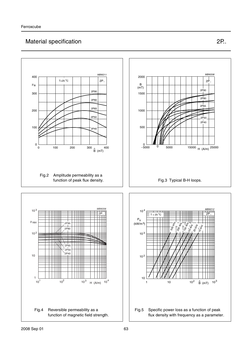# Material specification **2P. Material** specification **2P.**